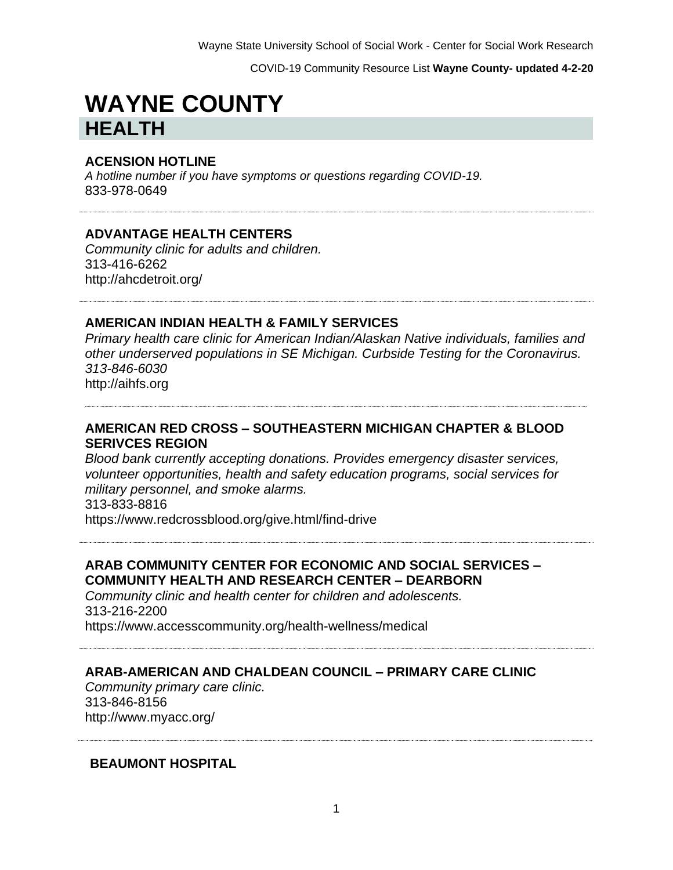# **WAYNE COUNTY HEALTH**

#### **ACENSION HOTLINE**

*A hotline number if you have symptoms or questions regarding COVID-19.* 833-978-0649

#### **ADVANTAGE HEALTH CENTERS**

*Community clinic for adults and children.* 313-416-6262 http://ahcdetroit.org/

#### **AMERICAN INDIAN HEALTH & FAMILY SERVICES**

*Primary health care clinic for American Indian/Alaskan Native individuals, families and other underserved populations in SE Michigan. Curbside Testing for the Coronavirus. 313-846-6030* http://aihfs.org

## **AMERICAN RED CROSS – SOUTHEASTERN MICHIGAN CHAPTER & BLOOD SERIVCES REGION**

*Blood bank currently accepting donations. Provides emergency disaster services, volunteer opportunities, health and safety education programs, social services for military personnel, and smoke alarms.* 313-833-8816

https://www.redcrossblood.org/give.html/find-drive

### **ARAB COMMUNITY CENTER FOR ECONOMIC AND SOCIAL SERVICES – COMMUNITY HEALTH AND RESEARCH CENTER – DEARBORN**

*Community clinic and health center for children and adolescents.* 313-216-2200 https://www.accesscommunity.org/health-wellness/medical

#### **ARAB-AMERICAN AND CHALDEAN COUNCIL – PRIMARY CARE CLINIC**

*Community primary care clinic.* 313-846-8156 http://www.myacc.org/

#### **BEAUMONT HOSPITAL**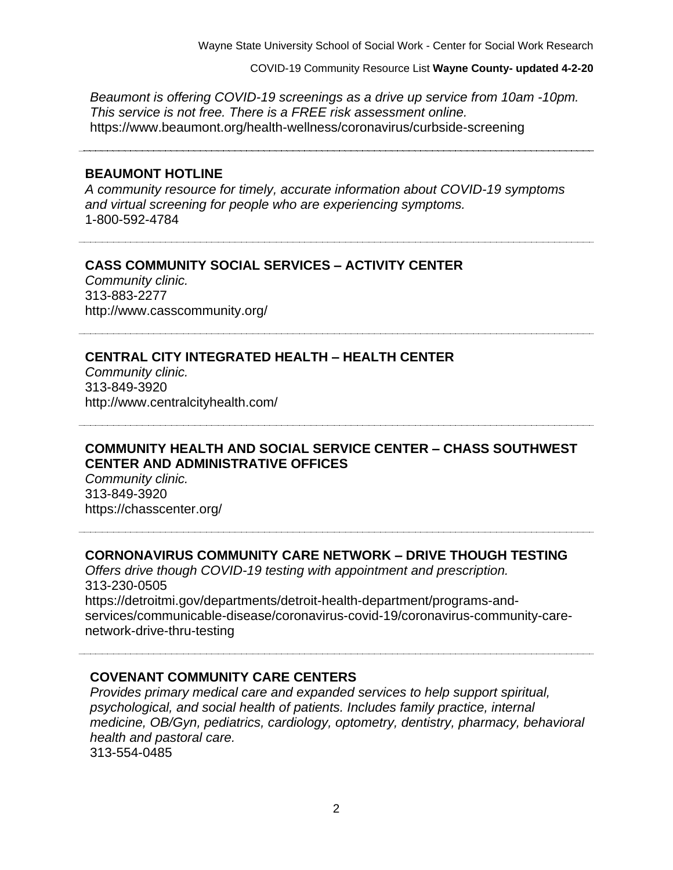COVID-19 Community Resource List **Wayne County- updated 4-2-20**

*Beaumont is offering COVID-19 screenings as a drive up service from 10am -10pm. This service is not free. There is a FREE risk assessment online.*  https://www.beaumont.org/health-wellness/coronavirus/curbside-screening

#### **BEAUMONT HOTLINE**

*A community resource for timely, accurate information about COVID-19 symptoms and virtual screening for people who are experiencing symptoms.* 1-800-592-4784

#### **CASS COMMUNITY SOCIAL SERVICES – ACTIVITY CENTER**

*Community clinic.* 313-883-2277 http://www.casscommunity.org/

#### **CENTRAL CITY INTEGRATED HEALTH – HEALTH CENTER**

*Community clinic.* 313-849-3920 http://www.centralcityhealth.com/

#### **COMMUNITY HEALTH AND SOCIAL SERVICE CENTER – CHASS SOUTHWEST CENTER AND ADMINISTRATIVE OFFICES**

*Community clinic.* 313-849-3920 https://chasscenter.org/

#### **CORNONAVIRUS COMMUNITY CARE NETWORK – DRIVE THOUGH TESTING**

*Offers drive though COVID-19 testing with appointment and prescription.*  313-230-0505 https://detroitmi.gov/departments/detroit-health-department/programs-andservices/communicable-disease/coronavirus-covid-19/coronavirus-community-carenetwork-drive-thru-testing

#### **COVENANT COMMUNITY CARE CENTERS**

*Provides primary medical care and expanded services to help support spiritual, psychological, and social health of patients. Includes family practice, internal medicine, OB/Gyn, pediatrics, cardiology, optometry, dentistry, pharmacy, behavioral health and pastoral care.* 313-554-0485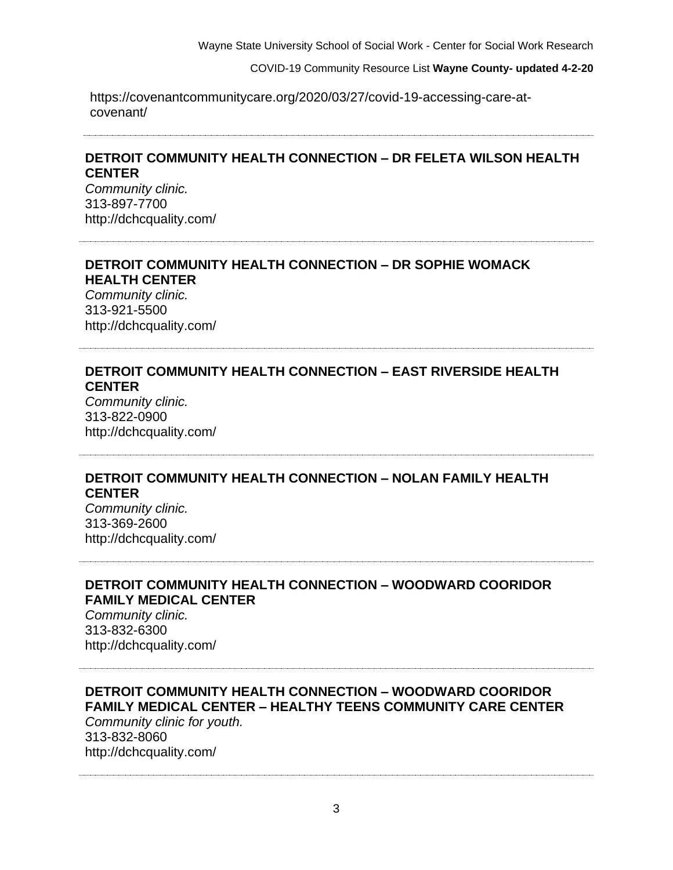https://covenantcommunitycare.org/2020/03/27/covid-19-accessing-care-atcovenant/

#### **DETROIT COMMUNITY HEALTH CONNECTION – DR FELETA WILSON HEALTH CENTER**

*Community clinic.* 313-897-7700 http://dchcquality.com/

# **DETROIT COMMUNITY HEALTH CONNECTION – DR SOPHIE WOMACK HEALTH CENTER**

*Community clinic.* 313-921-5500 http://dchcquality.com/

#### **DETROIT COMMUNITY HEALTH CONNECTION – EAST RIVERSIDE HEALTH CENTER**

*Community clinic.* 313-822-0900 http://dchcquality.com/

## **DETROIT COMMUNITY HEALTH CONNECTION – NOLAN FAMILY HEALTH CENTER**

*Community clinic.* 313-369-2600 http://dchcquality.com/

## **DETROIT COMMUNITY HEALTH CONNECTION – WOODWARD COORIDOR FAMILY MEDICAL CENTER**

*Community clinic.* 313-832-6300 http://dchcquality.com/

## **DETROIT COMMUNITY HEALTH CONNECTION – WOODWARD COORIDOR FAMILY MEDICAL CENTER – HEALTHY TEENS COMMUNITY CARE CENTER**

*Community clinic for youth.* 313-832-8060 http://dchcquality.com/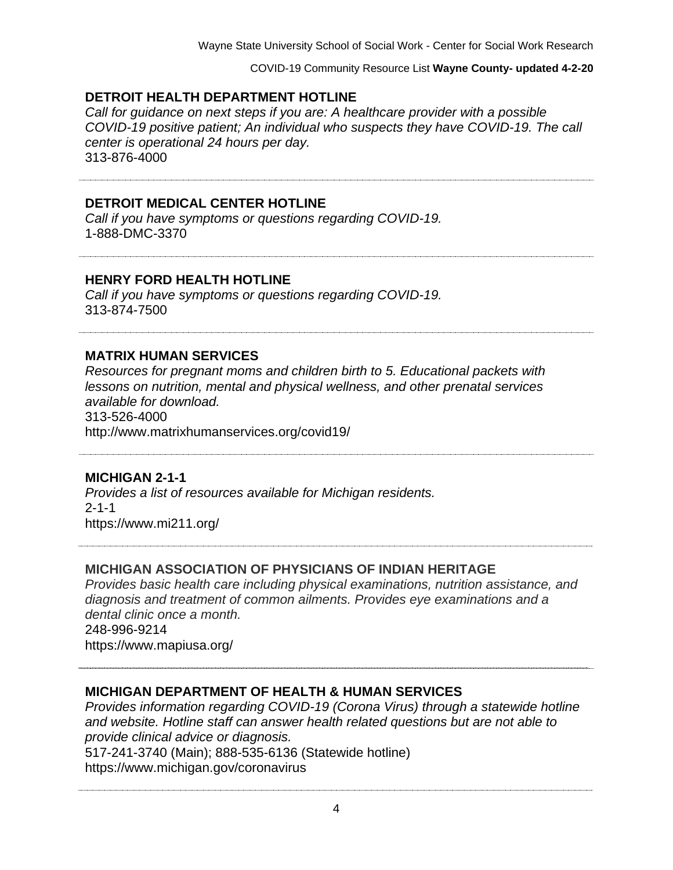## **DETROIT HEALTH DEPARTMENT HOTLINE**

*Call for guidance on next steps if you are: A healthcare provider with a possible COVID-19 positive patient; An individual who suspects they have COVID-19. The call center is operational 24 hours per day.* 313-876-4000

#### **DETROIT MEDICAL CENTER HOTLINE**

*Call if you have symptoms or questions regarding COVID-19.* 1-888-DMC-3370

#### **HENRY FORD HEALTH HOTLINE**

*Call if you have symptoms or questions regarding COVID-19.* 313-874-7500

#### **MATRIX HUMAN SERVICES**

*Resources for pregnant moms and children birth to 5. Educational packets with lessons on nutrition, mental and physical wellness, and other prenatal services available for download.* 313-526-4000

http://www.matrixhumanservices.org/covid19/

# **MICHIGAN 2-1-1**

*Provides a list of resources available for Michigan residents.*   $2 - 1 - 1$ https://www.mi211.org/

#### **MICHIGAN ASSOCIATION OF PHYSICIANS OF INDIAN HERITAGE**

*Provides basic health care including physical examinations, nutrition assistance, and diagnosis and treatment of common ailments. Provides eye examinations and a dental clinic once a month.* 248-996-9214 https://www.mapiusa.org/

#### **MICHIGAN DEPARTMENT OF HEALTH & HUMAN SERVICES**

*Provides information regarding COVID-19 (Corona Virus) through a statewide hotline and website. Hotline staff can answer health related questions but are not able to provide clinical advice or diagnosis.* 517-241-3740 (Main); 888-535-6136 (Statewide hotline) https://www.michigan.gov/coronavirus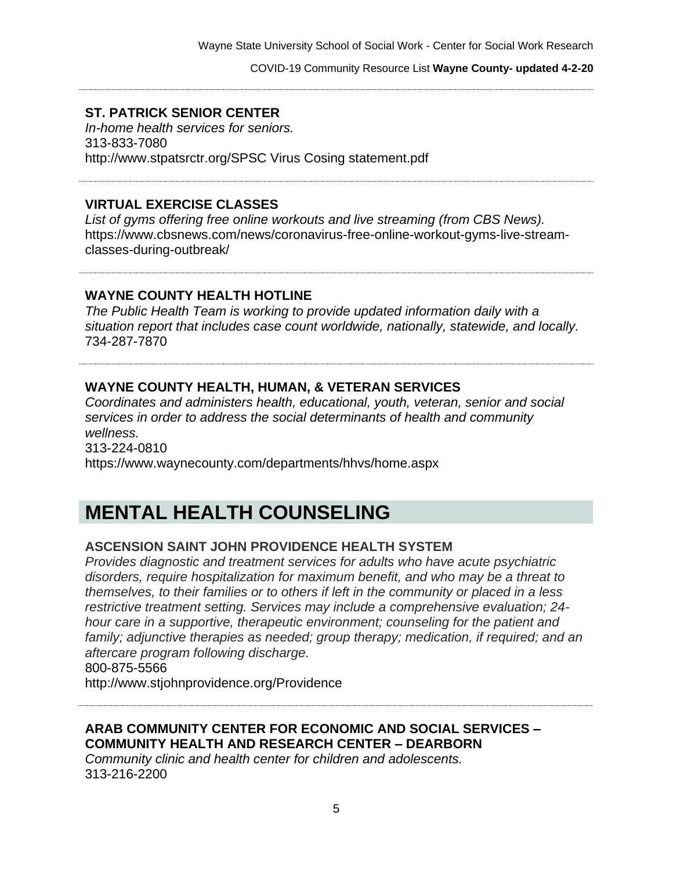# **ST. PATRICK SENIOR CENTER**

*In-home health services for seniors.* 313-833-7080 http://www.stpatsrctr.org/SPSC Virus Cosing statement.pdf

## **VIRTUAL EXERCISE CLASSES**

*List of gyms offering free online workouts and live streaming (from CBS News).* https://www.cbsnews.com/news/coronavirus-free-online-workout-gyms-live-streamclasses-during-outbreak/

#### **WAYNE COUNTY HEALTH HOTLINE**

*The Public Health Team is working to provide updated information daily with a situation report that includes case count worldwide, nationally, statewide, and locally.* 734-287-7870

## **WAYNE COUNTY HEALTH, HUMAN, & VETERAN SERVICES**

*Coordinates and administers health, educational, youth, veteran, senior and social services in order to address the social determinants of health and community wellness.* 313-224-0810 https://www.waynecounty.com/departments/hhvs/home.asp[x](https://www.waynecounty.com/departments/hhvs/home.aspx)

# **MENTAL HEALTH COUNSELING**

#### **ASCENSION SAINT JOHN PROVIDENCE HEALTH SYSTEM**

*Provides diagnostic and treatment services for adults who have acute psychiatric disorders, require hospitalization for maximum benefit, and who may be a threat to themselves, to their families or to others if left in the community or placed in a less restrictive treatment setting. Services may include a comprehensive evaluation; 24 hour care in a supportive, therapeutic environment; counseling for the patient and family; adjunctive therapies as needed; group therapy; medication, if required; and an aftercare program following discharge.*

800-875-5566

http://www.stjohnprovidence.org/Providence

**ARAB COMMUNITY CENTER FOR ECONOMIC AND SOCIAL SERVICES – COMMUNITY HEALTH AND RESEARCH CENTER – DEARBORN**

*Community clinic and health center for children and adolescents.* 313-216-2200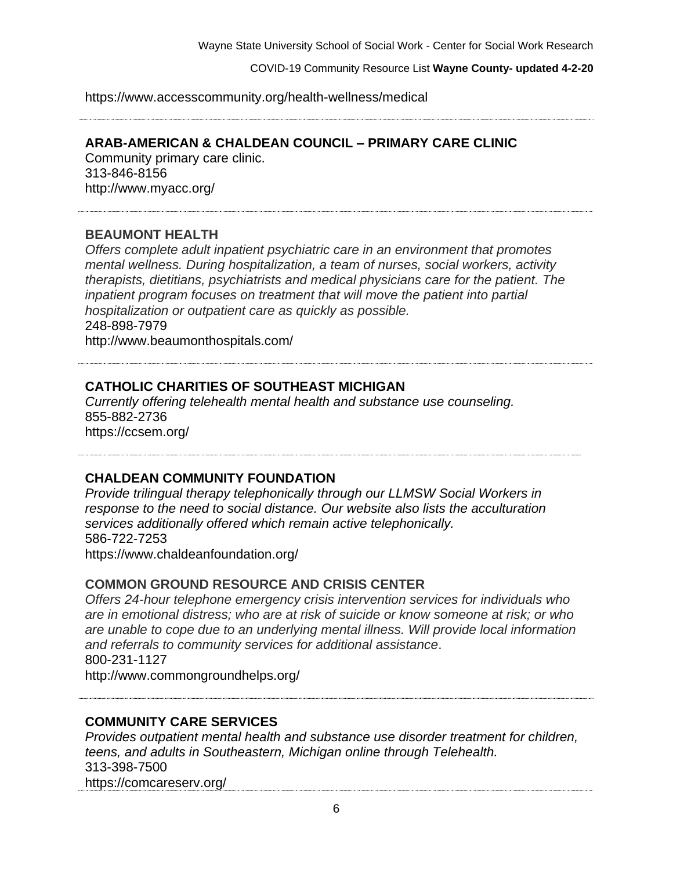https://www.accesscommunity.org/health-wellness/medical

# **ARAB-AMERICAN & CHALDEAN COUNCIL – PRIMARY CARE CLINIC**

Community primary care clinic. 313-846-8156 http://www.myacc.org/

# **BEAUMONT HEALTH**

*Offers complete adult inpatient psychiatric care in an environment that promotes mental wellness. During hospitalization, a team of nurses, social workers, activity therapists, dietitians, psychiatrists and medical physicians care for the patient. The inpatient program focuses on treatment that will move the patient into partial hospitalization or outpatient care as quickly as possible.* 248-898-7979 http://www.beaumonthospitals.com/

**CATHOLIC CHARITIES OF SOUTHEAST MICHIGAN**

*Currently offering telehealth mental health and substance use counseling.*  855-882-2736 https://ccsem.org/

# **CHALDEAN COMMUNITY FOUNDATION**

*Provide trilingual therapy telephonically through our LLMSW Social Workers in response to the need to social distance. Our website also lists the acculturation services additionally offered which remain active telephonically.* 586-722-7253 https://www.chaldeanfoundation.org/

#### **COMMON GROUND RESOURCE AND CRISIS CENTER**

*Offers 24-hour telephone emergency crisis intervention services for individuals who are in emotional distress; who are at risk of suicide or know someone at risk; or who are unable to cope due to an underlying mental illness. Will provide local information and referrals to community services for additional assistance*. 800-231-1127 http://www.commongroundhelps.org/

#### **COMMUNITY CARE SERVICES**

*Provides outpatient mental health and substance use disorder treatment for children, teens, and adults in Southeastern, Michigan online through Telehealth.* 313-398-7500 https://comcareserv.org/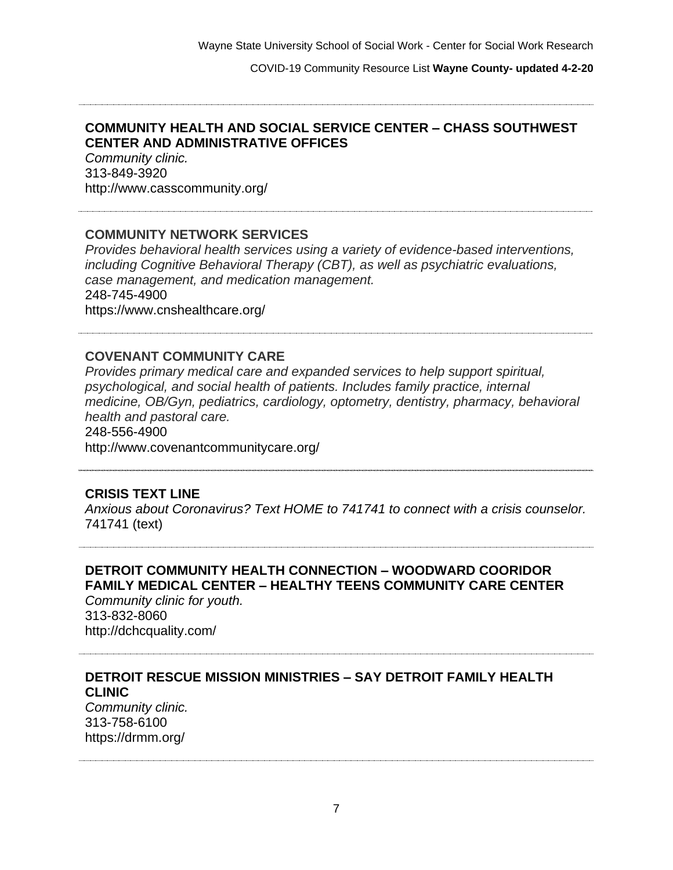#### **COMMUNITY HEALTH AND SOCIAL SERVICE CENTER – CHASS SOUTHWEST CENTER AND ADMINISTRATIVE OFFICES**

*Community clinic.* 313-849-3920 http://www.casscommunity.org/

#### **COMMUNITY NETWORK SERVICES**

*Provides behavioral health services using a variety of evidence-based interventions, including Cognitive Behavioral Therapy (CBT), as well as psychiatric evaluations, case management, and medication management.* 248-745-4900 https://www.cnshealthcare.org/

#### **COVENANT COMMUNITY CARE**

*Provides primary medical care and expanded services to help support spiritual, psychological, and social health of patients. Includes family practice, internal medicine, OB/Gyn, pediatrics, cardiology, optometry, dentistry, pharmacy, behavioral health and pastoral care.* 248-556-4900 http://www.covenantcommunitycare.org/

#### **CRISIS TEXT LINE**

*Anxious about Coronavirus? Text HOME to 741741 to connect with a crisis counselor.* 741741 (text)

# **DETROIT COMMUNITY HEALTH CONNECTION – WOODWARD COORIDOR FAMILY MEDICAL CENTER – HEALTHY TEENS COMMUNITY CARE CENTER**

*Community clinic for youth.* 313-832-8060 http://dchcquality.com/

# **DETROIT RESCUE MISSION MINISTRIES – SAY DETROIT FAMILY HEALTH CLINIC**

*Community clinic.* 313-758-6100 https://drmm.org/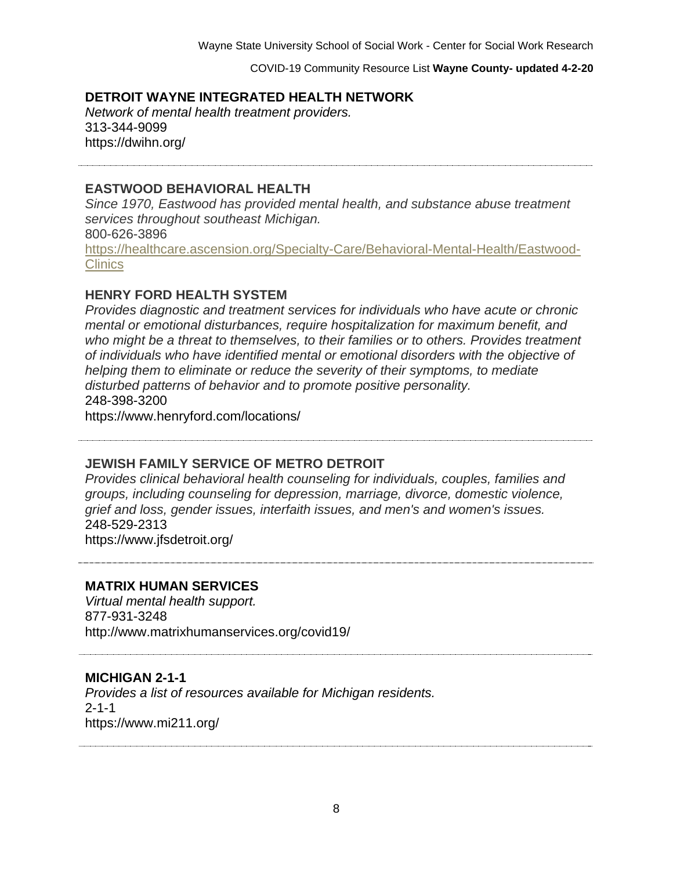## **DETROIT WAYNE INTEGRATED HEALTH NETWORK**

*Network of mental health treatment providers.* 313-344-9099 https://dwihn.org/

### **EASTWOOD BEHAVIORAL HEALTH**

*Since 1970, Eastwood has provided mental health, and substance abuse treatment services throughout southeast Michigan.* 800-626-3896

[https://healthcare.ascension.org/Specialty-Care/Behavioral-Mental-Health/Eastwood-](https://healthcare.ascension.org/Specialty-Care/Behavioral-Mental-Health/Eastwood-Clinics)[Clinics](https://healthcare.ascension.org/Specialty-Care/Behavioral-Mental-Health/Eastwood-Clinics)

### **HENRY FORD HEALTH SYSTEM**

*Provides diagnostic and treatment services for individuals who have acute or chronic mental or emotional disturbances, require hospitalization for maximum benefit, and who might be a threat to themselves, to their families or to others. Provides treatment of individuals who have identified mental or emotional disorders with the objective of helping them to eliminate or reduce the severity of their symptoms, to mediate disturbed patterns of behavior and to promote positive personality.*  248-398-3200

https://www.henryford.com/locations/

#### **JEWISH FAMILY SERVICE OF METRO DETROIT**

*Provides clinical behavioral health counseling for individuals, couples, families and groups, including counseling for depression, marriage, divorce, domestic violence, grief and loss, gender issues, interfaith issues, and men's and women's issues.* 248-529-2313 https://www.jfsdetroit.org/

#### **MATRIX HUMAN SERVICES**

*Virtual mental health support.* 877-931-3248 http://www.matrixhumanservices.org/covid19/

#### **MICHIGAN 2-1-1**

*Provides a list of resources available for Michigan residents.*  2-1-1 https://www.mi211.org/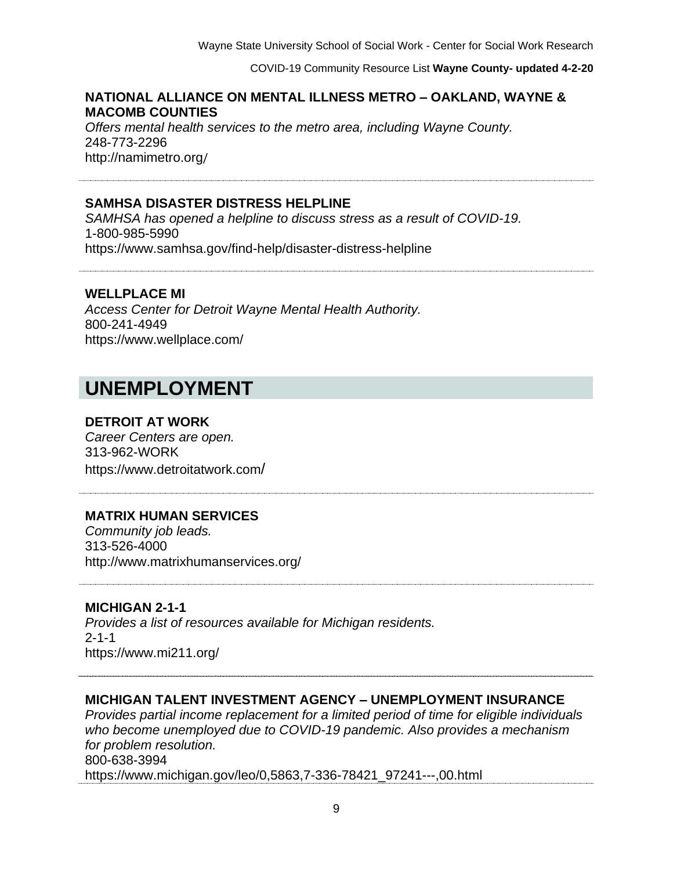## **NATIONAL ALLIANCE ON MENTAL ILLNESS METRO – OAKLAND, WAYNE & MACOMB COUNTIES**

*Offers mental health services to the metro area, including Wayne County.*  248-773-2296 http://namimetro.org/

### **SAMHSA DISASTER DISTRESS HELPLINE**

*SAMHSA has opened a helpline to discuss stress as a result of COVID-19.*  1-800-985-5990 https://www.samhsa.gov/find-help/disaster-distress-helpline

#### **WELLPLACE MI**

*Access Center for Detroit Wayne Mental Health Authority.* 800-241-4949 https://www.wellplace.com/

# **UNEMPLOYMENT**

#### **DETROIT AT WORK**

*Career Centers are open.* 313-962-WORK https://www.detroitatwork.com/

# **MATRIX HUMAN SERVICES**

*Community job leads.* 313-526-4000 http://www.matrixhumanservices.org/

#### **MICHIGAN 2-1-1**

*Provides a list of resources available for Michigan residents.*  2-1-1 https://www.mi211.org/

#### **MICHIGAN TALENT INVESTMENT AGENCY – UNEMPLOYMENT INSURANCE**

*Provides partial income replacement for a limited period of time for eligible individuals who become unemployed due to COVID-19 pandemic. Also provides a mechanism for problem resolution.* 800-638-3994 https://www.michigan.gov/leo/0,5863,7-336-78421\_97241---,00.html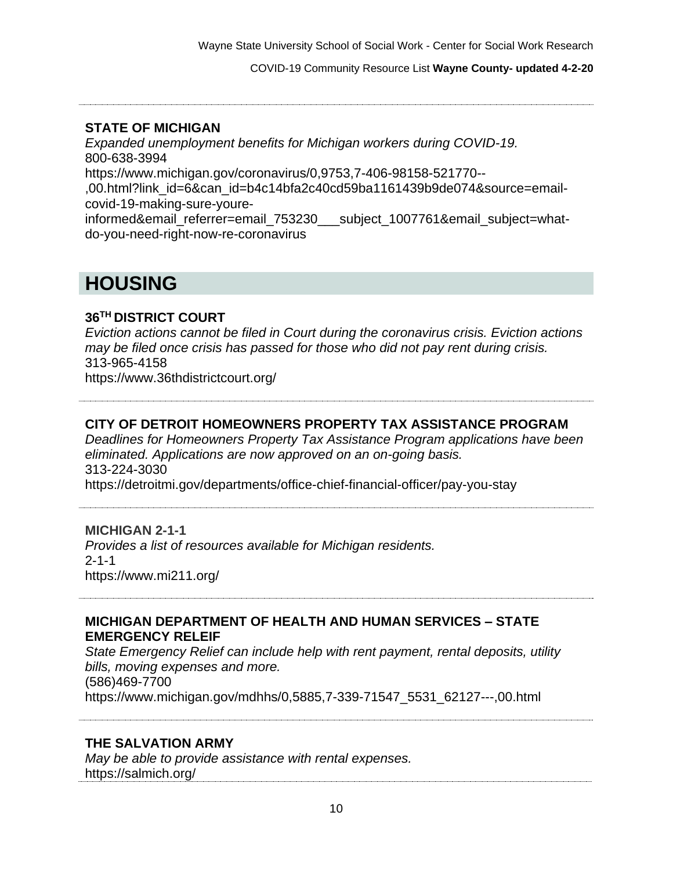COVID-19 Community Resource List **Wayne County- updated 4-2-20**

#### **STATE OF MICHIGAN**

*Expanded unemployment benefits for Michigan workers during COVID-19.* 800-638-3994 https://www.michigan.gov/coronavirus/0,9753,7-406-98158-521770-- ,00.html?link\_id=6&can\_id=b4c14bfa2c40cd59ba1161439b9de074&source=emailcovid-19-making-sure-youreinformed&email\_referrer=email\_753230\_\_\_\_subject\_1007761&email\_subject=whatdo-you-need-right-now-re-coronavirus

# **HOUSING**

#### **36TH DISTRICT COURT**

*Eviction actions cannot be filed in Court during the coronavirus crisis. Eviction actions may be filed once crisis has passed for those who did not pay rent during crisis.* 313-965-4158 https://www.36thdistrictcourt.org/

#### **CITY OF DETROIT HOMEOWNERS PROPERTY TAX ASSISTANCE PROGRAM**

*Deadlines for Homeowners Property Tax Assistance Program applications have been eliminated. Applications are now approved on an on-going basis.* 313-224-3030 https://detroitmi.gov/departments/office-chief-financial-officer/pay-you-stay

#### **MICHIGAN 2-1-1**

*Provides a list of resources available for Michigan residents.*  2-1-1 https://www.mi211.org/

#### **MICHIGAN DEPARTMENT OF HEALTH AND HUMAN SERVICES – STATE EMERGENCY RELEIF**

*State Emergency Relief can include help with rent payment, rental deposits, utility bills, moving expenses and more.* (586)469-7700 https://www.michigan.gov/mdhhs/0,5885,7-339-71547\_5531\_62127---,00.html

#### **THE SALVATION ARMY**

*May be able to provide assistance with rental expenses.*  https://salmich.org/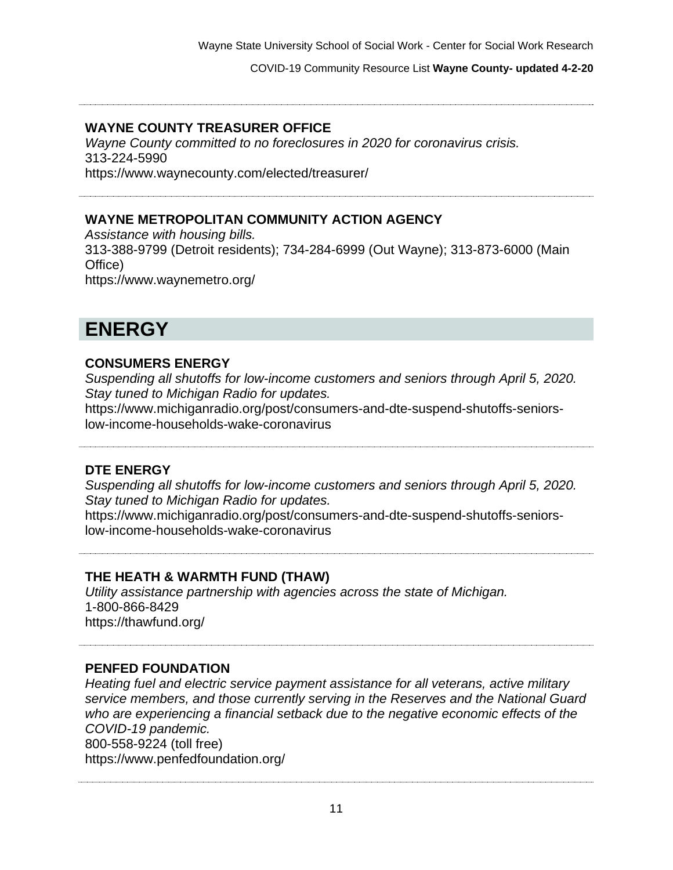COVID-19 Community Resource List **Wayne County- updated 4-2-20**

#### **WAYNE COUNTY TREASURER OFFICE**

*Wayne County committed to no foreclosures in 2020 for coronavirus crisis.* 313-224-5990 https://www.waynecounty.com/elected/treasurer/

# **WAYNE METROPOLITAN COMMUNITY ACTION AGENCY**

*Assistance with housing bills.* 313-388-9799 (Detroit residents); 734-284-6999 (Out Wayne); 313-873-6000 (Main Office) https://www.waynemetro.org/

# **ENERGY**

## **CONSUMERS ENERGY**

*Suspending all shutoffs for low-income customers and seniors through April 5, 2020. Stay tuned to Michigan Radio for updates.* https://www.michiganradio.org/post/consumers-and-dte-suspend-shutoffs-seniorslow-income-households-wake-coronavirus

# **DTE ENERGY**

*Suspending all shutoffs for low-income customers and seniors through April 5, 2020. Stay tuned to Michigan Radio for updates.* https://www.michiganradio.org/post/consumers-and-dte-suspend-shutoffs-seniorslow-income-households-wake-coronavirus

#### **THE HEATH & WARMTH FUND (THAW)**

*Utility assistance partnership with agencies across the state of Michigan.*  1-800-866-8429 https://thawfund.org/

#### **PENFED FOUNDATION**

*Heating fuel and electric service payment assistance for all veterans, active military service members, and those currently serving in the Reserves and the National Guard who are experiencing a financial setback due to the negative economic effects of the COVID-19 pandemic.*  800-558-9224 (toll free) https://www.penfedfoundation.org/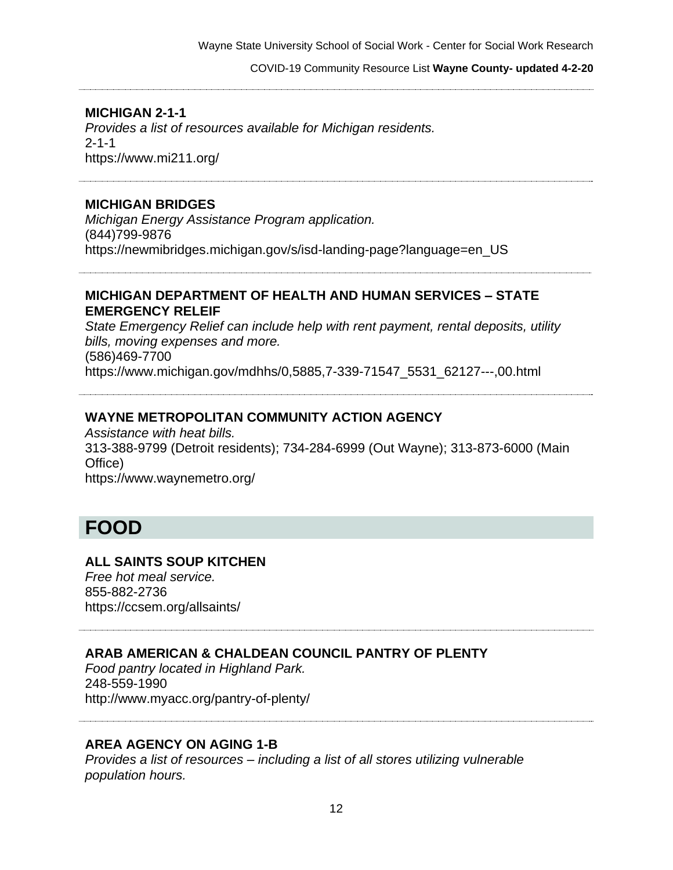COVID-19 Community Resource List **Wayne County- updated 4-2-20**

## **MICHIGAN 2-1-1**

*Provides a list of resources available for Michigan residents.*  2-1-1 https://www.mi211.org/

#### **MICHIGAN BRIDGES**

*Michigan Energy Assistance Program application.*  (844)799-9876 https://newmibridges.michigan.gov/s/isd-landing-page?language=en\_US

#### **MICHIGAN DEPARTMENT OF HEALTH AND HUMAN SERVICES – STATE EMERGENCY RELEIF**

*State Emergency Relief can include help with rent payment, rental deposits, utility bills, moving expenses and more.* (586)469-7700 https://www.michigan.gov/mdhhs/0,5885,7-339-71547\_5531\_62127---,00.html

#### **WAYNE METROPOLITAN COMMUNITY ACTION AGENCY**

*Assistance with heat bills.* 313-388-9799 (Detroit residents); 734-284-6999 (Out Wayne); 313-873-6000 (Main Office) https://www.waynemetro.org/

# **FOOD**

#### **ALL SAINTS SOUP KITCHEN**

*Free hot meal service.* 855-882-2736 https://ccsem.org/allsaints/

# **ARAB AMERICAN & CHALDEAN COUNCIL PANTRY OF PLENTY**

*Food pantry located in Highland Park.* 248-559-1990 http://www.myacc.org/pantry-of-plenty/

#### **AREA AGENCY ON AGING 1-B**

*Provides a list of resources – including a list of all stores utilizing vulnerable population hours.*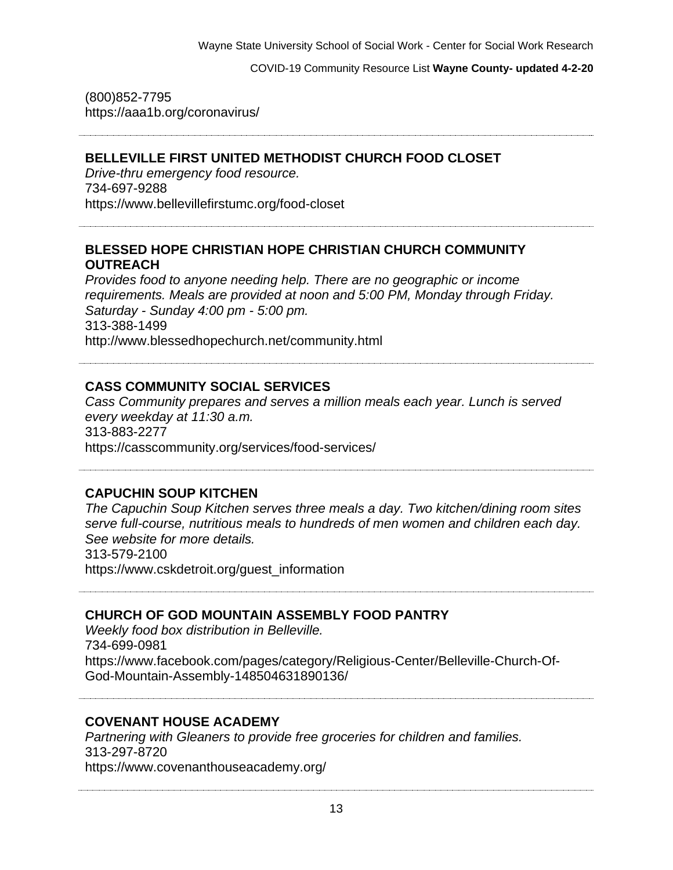(800)852-7795 https://aaa1b.org/coronavirus/

# **BELLEVILLE FIRST UNITED METHODIST CHURCH FOOD CLOSET**

*Drive-thru emergency food resource.* 734-697-9288 https://www.bellevillefirstumc.org/food-closet

## **BLESSED HOPE CHRISTIAN HOPE CHRISTIAN CHURCH COMMUNITY OUTREACH**

*Provides food to anyone needing help. There are no geographic or income requirements. Meals are provided at noon and 5:00 PM, Monday through Friday. Saturday - Sunday 4:00 pm - 5:00 pm.* 313-388-1499 http://www.blessedhopechurch.net/community.html

# **CASS COMMUNITY SOCIAL SERVICES**

*Cass Community prepares and serves a million meals each year. Lunch is served every weekday at 11:30 a.m.* 313-883-2277 https://casscommunity.org/services/food-services/

# **CAPUCHIN SOUP KITCHEN**

*The Capuchin Soup Kitchen serves three meals a day. Two kitchen/dining room sites serve full-course, nutritious meals to hundreds of men women and children each day. See website for more details.* 313-579-2100 https://www.cskdetroit.org/guest\_information

# **CHURCH OF GOD MOUNTAIN ASSEMBLY FOOD PANTRY**

*Weekly food box distribution in Belleville.* 734-699-0981 https://www.facebook.com/pages/category/Religious-Center/Belleville-Church-Of-God-Mountain-Assembly-148504631890136/

# **COVENANT HOUSE ACADEMY**

*Partnering with Gleaners to provide free groceries for children and families.* 313-297-8720 https://www.covenanthouseacademy.org/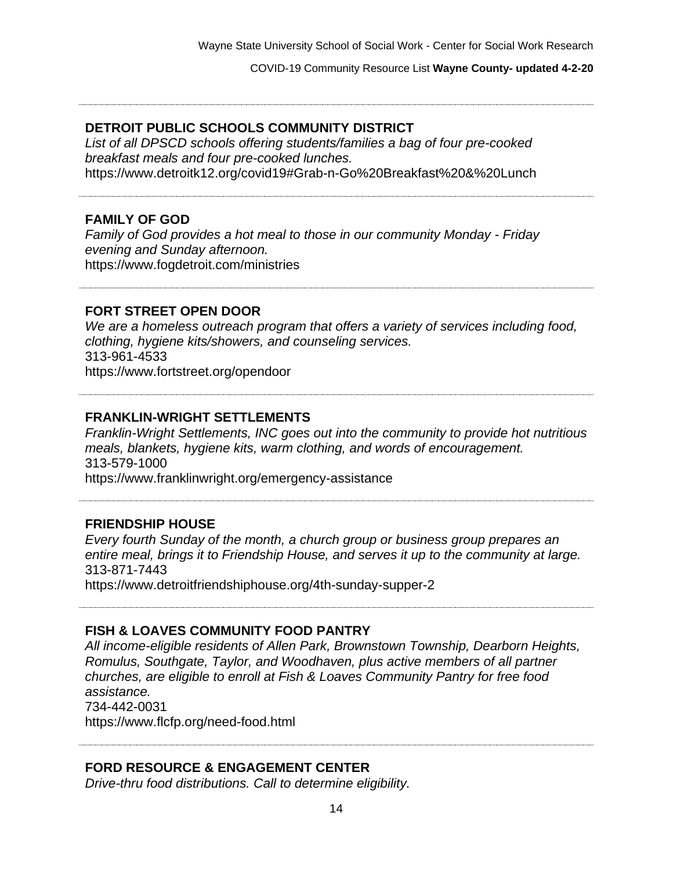#### **DETROIT PUBLIC SCHOOLS COMMUNITY DISTRICT**

*List of all DPSCD schools offering students/families a bag of four pre-cooked breakfast meals and four pre-cooked lunches.* https://www.detroitk12.org/covid19#Grab-n-Go%20Breakfast%20&%20Lunch

#### **FAMILY OF GOD**

*Family of God provides a hot meal to those in our community Monday - Friday evening and Sunday afternoon.* https://www.fogdetroit.com/ministries

#### **FORT STREET OPEN DOOR**

*We are a homeless outreach program that offers a variety of services including food, clothing, hygiene kits/showers, and counseling services.* 313-961-4533 https://www.fortstreet.org/opendoor

#### **FRANKLIN-WRIGHT SETTLEMENTS**

*Franklin-Wright Settlements, INC goes out into the community to provide hot nutritious meals, blankets, hygiene kits, warm clothing, and words of encouragement.* 313-579-1000 https://www.franklinwright.org/emergency-assistance

#### **FRIENDSHIP HOUSE**

*Every fourth Sunday of the month, a church group or business group prepares an entire meal, brings it to Friendship House, and serves it up to the community at large.*  313-871-7443 https://www.detroitfriendshiphouse.org/4th-sunday-supper-2

## **FISH & LOAVES COMMUNITY FOOD PANTRY**

*All income-eligible residents of Allen Park, Brownstown Township, Dearborn Heights, Romulus, Southgate, Taylor, and Woodhaven, plus active members of all partner churches, are eligible to enroll at Fish & Loaves Community Pantry for free food assistance.* 734-442-0031 https://www.flcfp.org/need-food.html

#### **FORD RESOURCE & ENGAGEMENT CENTER**

*Drive-thru food distributions. Call to determine eligibility.*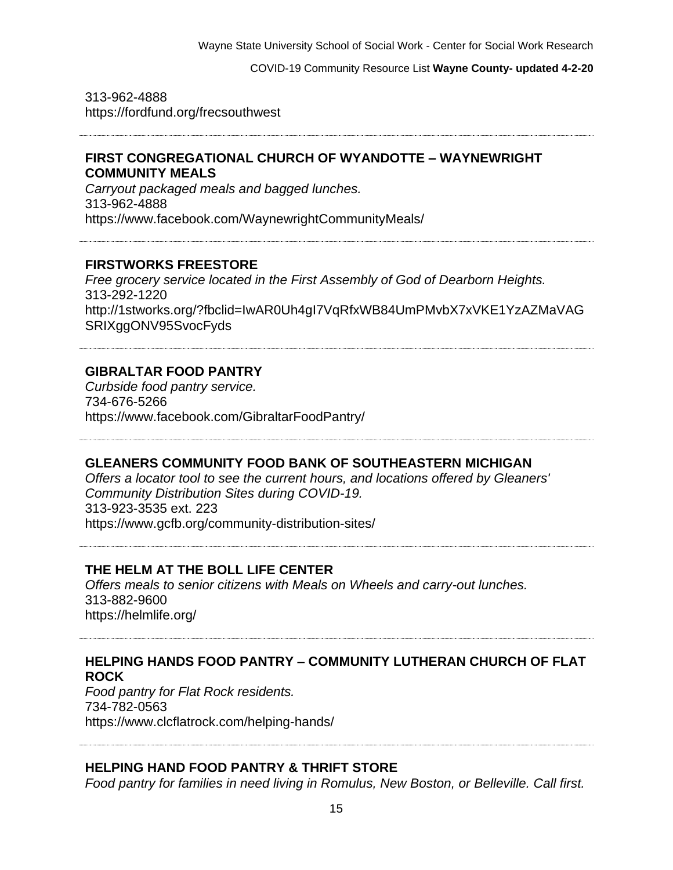#### COVID-19 Community Resource List **Wayne County- updated 4-2-20**

313-962-4888 https://fordfund.org/frecsouthwest

#### **FIRST CONGREGATIONAL CHURCH OF WYANDOTTE – WAYNEWRIGHT COMMUNITY MEALS**

*Carryout packaged meals and bagged lunches.* 313-962-4888 https://www.facebook.com/WaynewrightCommunityMeals/

#### **FIRSTWORKS FREESTORE**

*Free grocery service located in the First Assembly of God of Dearborn Heights.* 313-292-1220 http://1stworks.org/?fbclid=IwAR0Uh4gI7VqRfxWB84UmPMvbX7xVKE1YzAZMaVAG SRIXggONV95SvocFyds

#### **GIBRALTAR FOOD PANTRY**

*Curbside food pantry service.* 734-676-5266 https://www.facebook.com/GibraltarFoodPantry/

#### **GLEANERS COMMUNITY FOOD BANK OF SOUTHEASTERN MICHIGAN**

*Offers a locator tool to see the current hours, and locations offered by Gleaners' Community Distribution Sites during COVID-19.* 313-923-3535 ext. 223 https://www.gcfb.org/community-distribution-sites/

#### **THE HELM AT THE BOLL LIFE CENTER**

*Offers meals to senior citizens with Meals on Wheels and carry-out lunches.* 313-882-9600 https://helmlife.org/

# **HELPING HANDS FOOD PANTRY – COMMUNITY LUTHERAN CHURCH OF FLAT ROCK**

*Food pantry for Flat Rock residents.* 734-782-0563 https://www.clcflatrock.com/helping-hands/

#### **HELPING HAND FOOD PANTRY & THRIFT STORE**

*Food pantry for families in need living in Romulus, New Boston, or Belleville. Call first.*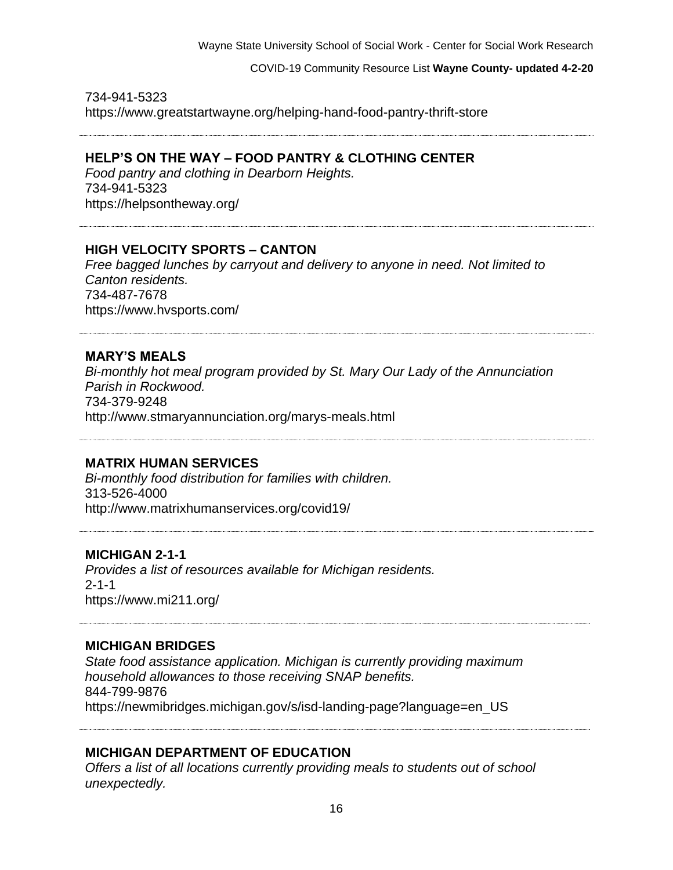734-941-5323 https://www.greatstartwayne.org/helping-hand-food-pantry-thrift-store

#### **HELP'S ON THE WAY – FOOD PANTRY & CLOTHING CENTER**

*Food pantry and clothing in Dearborn Heights.* 734-941-5323 https://helpsontheway.org/

#### **HIGH VELOCITY SPORTS – CANTON**

*Free bagged lunches by carryout and delivery to anyone in need. Not limited to Canton residents.* 734-487-7678 https://www.hvsports.com/

## **MARY'S MEALS**

*Bi-monthly hot meal program provided by St. Mary Our Lady of the Annunciation Parish in Rockwood.* 734-379-9248 http://www.stmaryannunciation.org/marys-meals.html

#### **MATRIX HUMAN SERVICES**

*Bi-monthly food distribution for families with children.* 313-526-4000 http://www.matrixhumanservices.org/covid19/

#### **MICHIGAN 2-1-1**

*Provides a list of resources available for Michigan residents.*  2-1-1 https://www.mi211.org/

#### **MICHIGAN BRIDGES**

*State food assistance application. Michigan is currently providing maximum household allowances to those receiving SNAP benefits.*  844-799-9876 https://newmibridges.michigan.gov/s/isd-landing-page?language=en\_US

#### **MICHIGAN DEPARTMENT OF EDUCATION**

*Offers a list of all locations currently providing meals to students out of school unexpectedly.*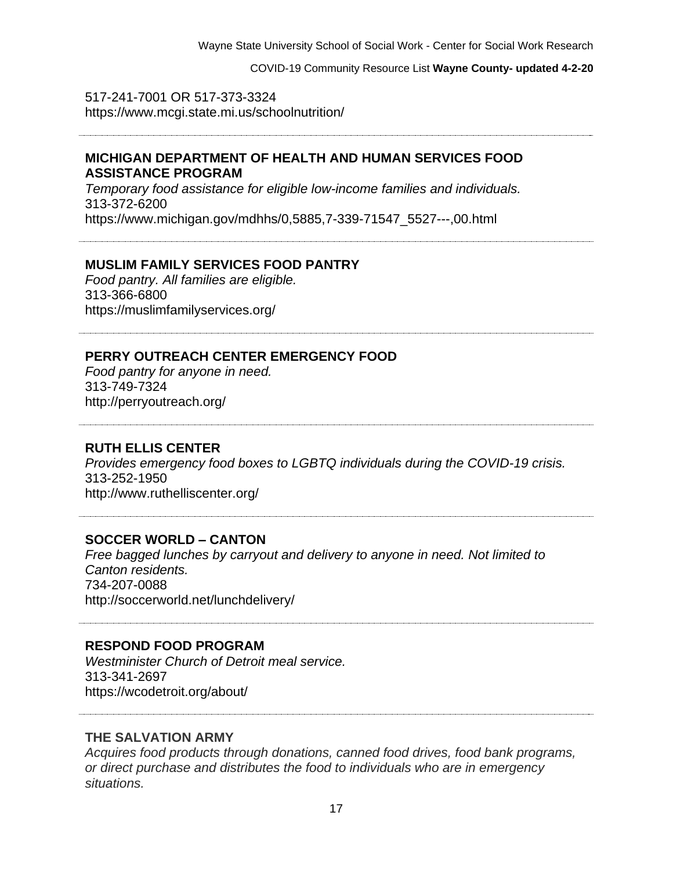#### COVID-19 Community Resource List **Wayne County- updated 4-2-20**

517-241-7001 OR 517-373-3324 https://www.mcgi.state.mi.us/schoolnutrition/

#### **MICHIGAN DEPARTMENT OF HEALTH AND HUMAN SERVICES FOOD ASSISTANCE PROGRAM**

*Temporary food assistance for eligible low-income families and individuals.* 313-372-6200 https://www.michigan.gov/mdhhs/0,5885,7-339-71547\_5527---,00.html

#### **MUSLIM FAMILY SERVICES FOOD PANTRY**

*Food pantry. All families are eligible.* 313-366-6800 https://muslimfamilyservices.org/

# **PERRY OUTREACH CENTER EMERGENCY FOOD**

*Food pantry for anyone in need.* 313-749-7324 http://perryoutreach.org/

#### **RUTH ELLIS CENTER**

*Provides emergency food boxes to LGBTQ individuals during the COVID-19 crisis.* 313-252-1950 http://www.ruthelliscenter.org/

#### **SOCCER WORLD – CANTON**

*Free bagged lunches by carryout and delivery to anyone in need. Not limited to Canton residents.* 734-207-0088 http://soccerworld.net/lunchdelivery/

#### **RESPOND FOOD PROGRAM**

*Westminister Church of Detroit meal service.* 313-341-2697 https://wcodetroit.org/about/

#### **THE SALVATION ARMY**

*Acquires food products through donations, canned food drives, food bank programs, or direct purchase and distributes the food to individuals who are in emergency situations.*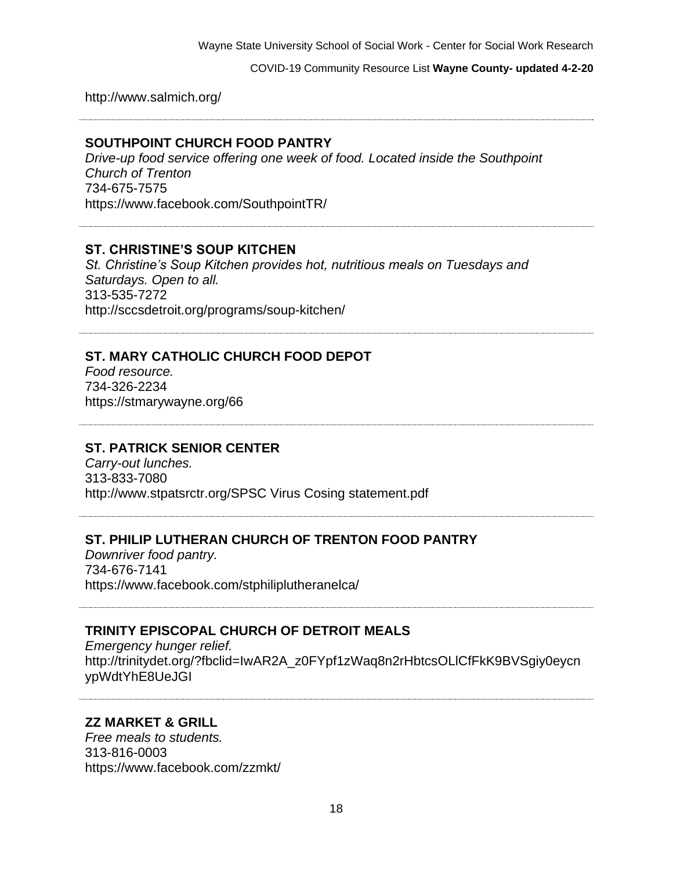http://www.salmich.org/

**SOUTHPOINT CHURCH FOOD PANTRY**

*Drive-up food service offering one week of food. Located inside the Southpoint Church of Trenton* 734-675-7575 https://www.facebook.com/SouthpointTR/

#### **ST. CHRISTINE'S SOUP KITCHEN**

*St. Christine's Soup Kitchen provides hot, nutritious meals on Tuesdays and Saturdays. Open to all.* 313-535-7272 http://sccsdetroit.org/programs/soup-kitchen/

# **ST. MARY CATHOLIC CHURCH FOOD DEPOT**

*Food resource.* 734-326-2234 https://stmarywayne.org/66

#### **ST. PATRICK SENIOR CENTER**

*Carry-out lunches.* 313-833-7080 http://www.stpatsrctr.org/SPSC Virus Cosing statement.pdf

#### **ST. PHILIP LUTHERAN CHURCH OF TRENTON FOOD PANTRY**

*Downriver food pantry.* 734-676-7141 https://www.facebook.com/stphiliplutheranelca/

#### **TRINITY EPISCOPAL CHURCH OF DETROIT MEALS**

*Emergency hunger relief.* http://trinitydet.org/?fbclid=IwAR2A\_z0FYpf1zWaq8n2rHbtcsOLlCfFkK9BVSgiy0eycn ypWdtYhE8UeJGI

#### **ZZ MARKET & GRILL**

*Free meals to students.* 313-816-0003 https://www.facebook.com/zzmkt/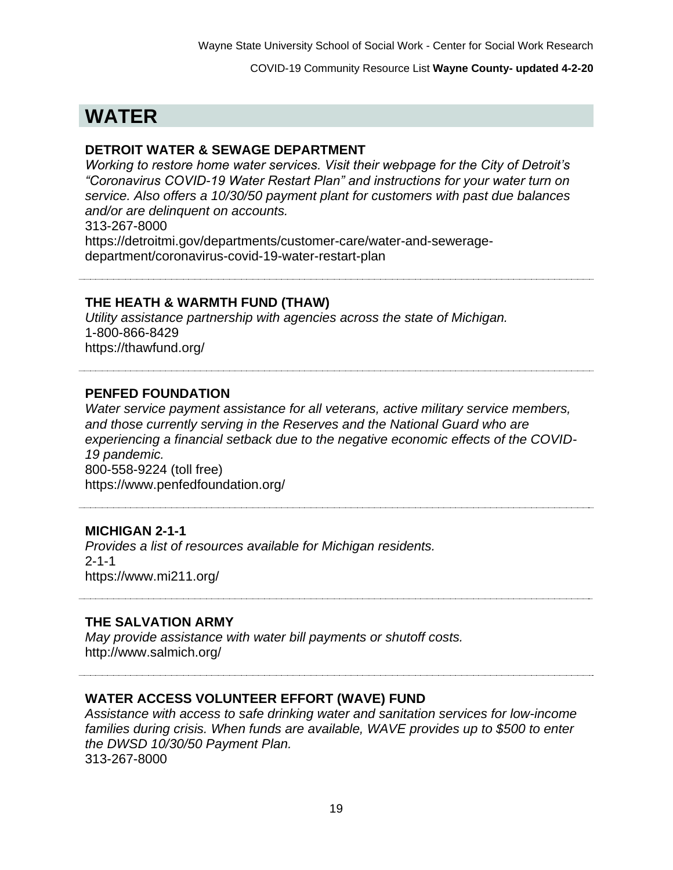# **WATER**

### **DETROIT WATER & SEWAGE DEPARTMENT**

*Working to restore home water services. Visit their webpage for the City of Detroit's "Coronavirus COVID-19 Water Restart Plan" and instructions for your water turn on service. Also offers a 10/30/50 payment plant for customers with past due balances and/or are delinquent on accounts.* 313-267-8000 https://detroitmi.gov/departments/customer-care/water-and-seweragedepartment/coronavirus-covid-19-water-restart-plan

#### **THE HEATH & WARMTH FUND (THAW)**

*Utility assistance partnership with agencies across the state of Michigan.*  1-800-866-8429 https://thawfund.org/

#### **PENFED FOUNDATION**

*Water service payment assistance for all veterans, active military service members, and those currently serving in the Reserves and the National Guard who are experiencing a financial setback due to the negative economic effects of the COVID-19 pandemic.* 800-558-9224 (toll free) https://www.penfedfoundation.org/

#### **MICHIGAN 2-1-1**

*Provides a list of resources available for Michigan residents.*  2-1-1 https://www.mi211.org/

#### **THE SALVATION ARMY**

*May provide assistance with water bill payments or shutoff costs.* http://www.salmich.org/

#### **WATER ACCESS VOLUNTEER EFFORT (WAVE) FUND**

*Assistance with access to safe drinking water and sanitation services for low-income families during crisis. When funds are available, WAVE provides up to \$500 to enter the DWSD 10/30/50 Payment Plan.* 313-267-8000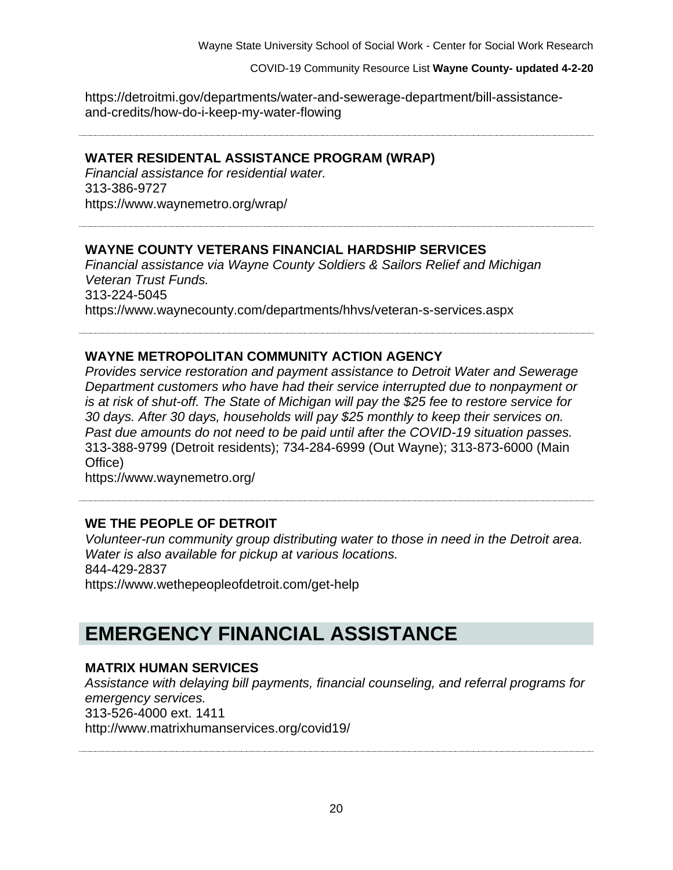https://detroitmi.gov/departments/water-and-sewerage-department/bill-assistanceand-credits/how-do-i-keep-my-water-flowing

#### **WATER RESIDENTAL ASSISTANCE PROGRAM (WRAP)**

*Financial assistance for residential water.* 313-386-9727 https://www.waynemetro.org/wrap/

#### **WAYNE COUNTY VETERANS FINANCIAL HARDSHIP SERVICES**

*Financial assistance via Wayne County Soldiers & Sailors Relief and Michigan Veteran Trust Funds.* 313-224-5045 https://www.waynecounty.com/departments/hhvs/veteran-s-services.aspx

#### **WAYNE METROPOLITAN COMMUNITY ACTION AGENCY**

*Provides service restoration and payment assistance to Detroit Water and Sewerage Department customers who have had their service interrupted due to nonpayment or is at risk of shut-off. The State of Michigan will pay the \$25 fee to restore service for 30 days. After 30 days, households will pay \$25 monthly to keep their services on. Past due amounts do not need to be paid until after the COVID-19 situation passes.* 313-388-9799 (Detroit residents); 734-284-6999 (Out Wayne); 313-873-6000 (Main Office)

https://www.waynemetro.org/

#### **WE THE PEOPLE OF DETROIT**

*Volunteer-run community group distributing water to those in need in the Detroit area. Water is also available for pickup at various locations.* 844-429-2837 https://www.wethepeopleofdetroit.com/get-help

# **EMERGENCY FINANCIAL ASSISTANCE**

#### **MATRIX HUMAN SERVICES**

*Assistance with delaying bill payments, financial counseling, and referral programs for emergency services.* 313-526-4000 ext. 1411 http://www.matrixhumanservices.org/covid19/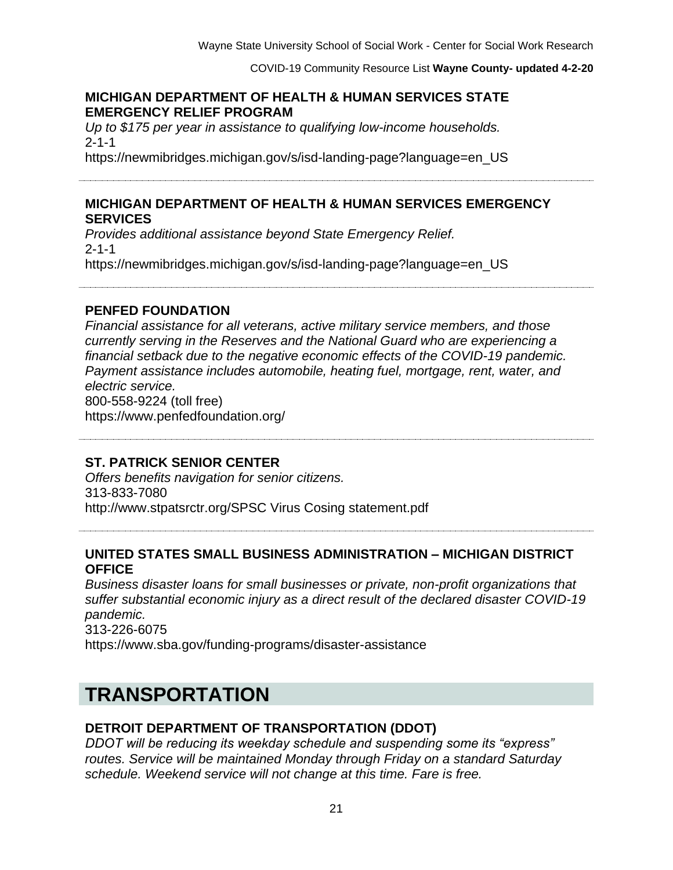#### **MICHIGAN DEPARTMENT OF HEALTH & HUMAN SERVICES STATE EMERGENCY RELIEF PROGRAM**

*Up to \$175 per year in assistance to qualifying low-income households.* 2-1-1 https://newmibridges.michigan.gov/s/isd-landing-page?language=en\_US

#### **MICHIGAN DEPARTMENT OF HEALTH & HUMAN SERVICES EMERGENCY SERVICES**

*Provides additional assistance beyond State Emergency Relief.* 2-1-1 https://newmibridges.michigan.gov/s/isd-landing-page?language=en\_US

**PENFED FOUNDATION**

*Financial assistance for all veterans, active military service members, and those currently serving in the Reserves and the National Guard who are experiencing a financial setback due to the negative economic effects of the COVID-19 pandemic. Payment assistance includes automobile, heating fuel, mortgage, rent, water, and electric service.* 800-558-9224 (toll free) https://www.penfedfoundation.org/

#### **ST. PATRICK SENIOR CENTER**

*Offers benefits navigation for senior citizens.* 313-833-7080 http://www.stpatsrctr.org/SPSC Virus Cosing statement.pdf

#### **UNITED STATES SMALL BUSINESS ADMINISTRATION – MICHIGAN DISTRICT OFFICE**

*Business disaster loans for small businesses or private, non-profit organizations that suffer substantial economic injury as a direct result of the declared disaster COVID-19 pandemic.* 313-226-6075 https://www.sba.gov/funding-programs/disaster-assistance

# **TRANSPORTATION**

# **DETROIT DEPARTMENT OF TRANSPORTATION (DDOT)**

*DDOT will be reducing its weekday schedule and suspending some its "express" routes. Service will be maintained Monday through Friday on a standard Saturday schedule. Weekend service will not change at this time. Fare is free.*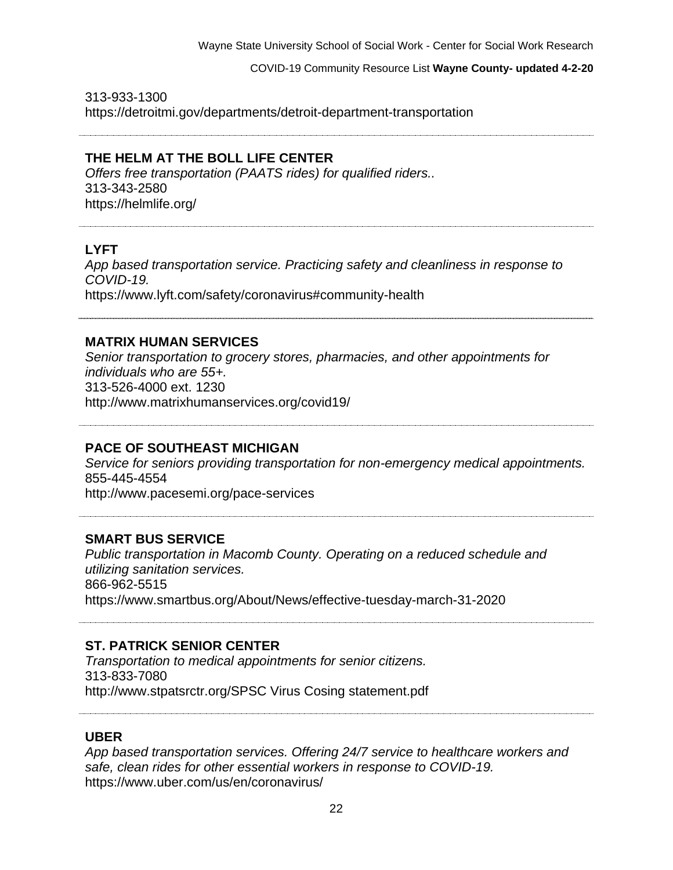#### COVID-19 Community Resource List **Wayne County- updated 4-2-20**

313-933-1300 https://detroitmi.gov/departments/detroit-department-transportation

## **THE HELM AT THE BOLL LIFE CENTER**

*Offers free transportation (PAATS rides) for qualified riders..* 313-343-2580 https://helmlife.org/

## **LYFT**

*App based transportation service. Practicing safety and cleanliness in response to COVID-19.* https://www.lyft.com/safety/coronavirus#community-health

#### **MATRIX HUMAN SERVICES**

*Senior transportation to grocery stores, pharmacies, and other appointments for individuals who are 55+.* 313-526-4000 ext. 1230 http://www.matrixhumanservices.org/covid19/

#### **PACE OF SOUTHEAST MICHIGAN**

*Service for seniors providing transportation for non-emergency medical appointments.*  855-445-4554 http://www.pacesemi.org/pace-services

#### **SMART BUS SERVICE**

*Public transportation in Macomb County. Operating on a reduced schedule and utilizing sanitation services.*  866-962-5515 https://www.smartbus.org/About/News/effective-tuesday-march-31-2020

#### **ST. PATRICK SENIOR CENTER**

*Transportation to medical appointments for senior citizens.* 313-833-7080 http://www.stpatsrctr.org/SPSC Virus Cosing statement.pdf

#### **UBER**

*App based transportation services. Offering 24/7 service to healthcare workers and safe, clean rides for other essential workers in response to COVID-19.*  https://www.uber.com/us/en/coronavirus/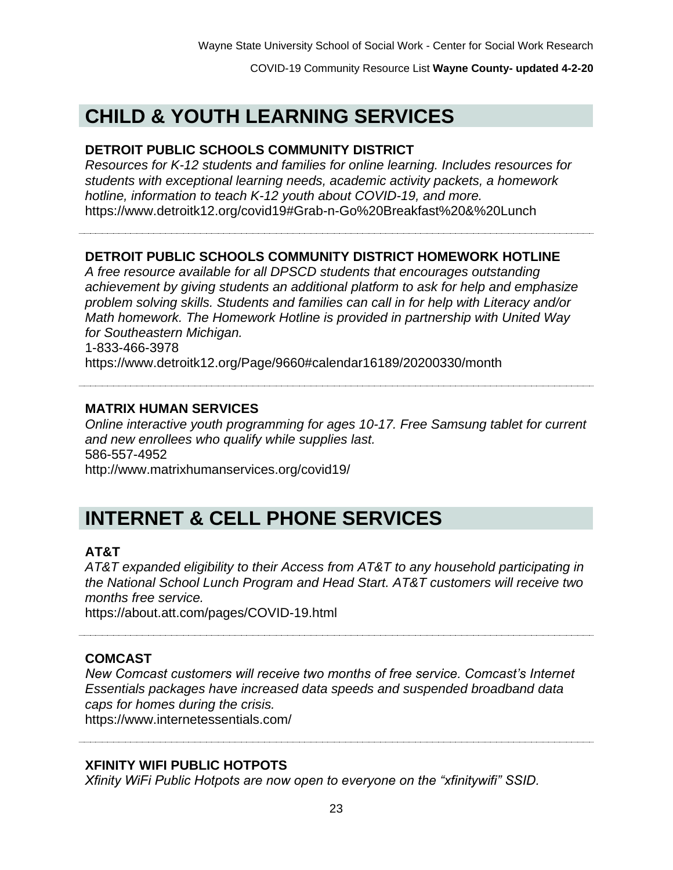# **CHILD & YOUTH LEARNING SERVICES**

#### **DETROIT PUBLIC SCHOOLS COMMUNITY DISTRICT**

*Resources for K-12 students and families for online learning. Includes resources for students with exceptional learning needs, academic activity packets, a homework hotline, information to teach K-12 youth about COVID-19, and more.* https://www.detroitk12.org/covid19#Grab-n-Go%20Breakfast%20&%20Lunch

#### **DETROIT PUBLIC SCHOOLS COMMUNITY DISTRICT HOMEWORK HOTLINE**

*A free resource available for all DPSCD students that encourages outstanding achievement by giving students an additional platform to ask for help and emphasize problem solving skills. Students and families can call in for help with Literacy and/or Math homework. The Homework Hotline is provided in partnership with United Way for Southeastern Michigan.*

1-833-466-3978

https://www.detroitk12.org/Page/9660#calendar16189/20200330/month

#### **MATRIX HUMAN SERVICES**

*Online interactive youth programming for ages 10-17. Free Samsung tablet for current and new enrollees who qualify while supplies last.* 586-557-4952 http://www.matrixhumanservices.org/covid19/

# **INTERNET & CELL PHONE SERVICES**

#### **AT&T**

*AT&T expanded eligibility to their Access from AT&T to any household participating in the National School Lunch Program and Head Start. AT&T customers will receive two months free service.*

https://about.att.com/pages/COVID-19.html

#### **COMCAST**

*New Comcast customers will receive two months of free service. Comcast's Internet Essentials packages have increased data speeds and suspended broadband data caps for homes during the crisis.* https://www.internetessentials.com/

#### **XFINITY WIFI PUBLIC HOTPOTS**

*Xfinity WiFi Public Hotpots are now open to everyone on the "xfinitywifi" SSID.*